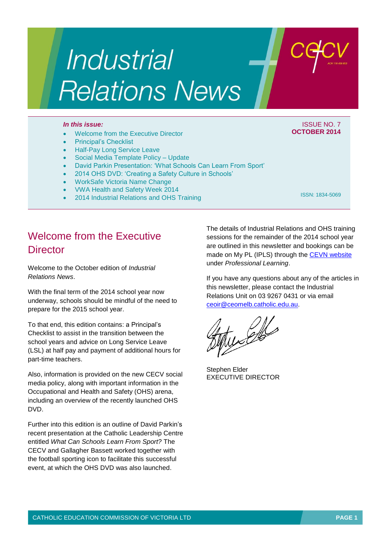# Industrial **Relations News**

#### *In this issue:* ISSUE NO. 7

- Welcome from the Executive Director
- Principal's Checklist
- Half-Pay Long Service Leave
- Social Media Template Policy Update
- David Parkin Presentation: 'What Schools Can Learn From Sport'
- 2014 OHS DVD: 'Creating a Safety Culture in Schools'
- WorkSafe Victoria Name Change
- VWA Health and Safety Week 2014
- 2014 Industrial Relations and OHS Training

ISSN: 1834-5069

**OCTOBER 2014**

## Welcome from the Executive **Director**

Welcome to the October edition of *Industrial Relations News*.

With the final term of the 2014 school year now underway, schools should be mindful of the need to prepare for the 2015 school year.

To that end, this edition contains: a Principal's Checklist to assist in the transition between the school years and advice on Long Service Leave (LSL) at half pay and payment of additional hours for part-time teachers.

Also, information is provided on the new CECV social media policy, along with important information in the Occupational and Health and Safety (OHS) arena, including an overview of the recently launched OHS DVD.

Further into this edition is an outline of David Parkin's recent presentation at the Catholic Leadership Centre entitled *What Can Schools Learn From Sport?* The CECV and Gallagher Bassett worked together with the football sporting icon to facilitate this successful event, at which the OHS DVD was also launched.

The details of Industrial Relations and OHS training sessions for the remainder of the 2014 school year are outlined in this newsletter and bookings can be made on My PL (IPLS) through the [CEVN website](http://cevn.cecv.catholic.edu.au/cevnlogin.aspx) under *Professional Learning*.

If you have any questions about any of the articles in this newsletter, please contact the Industrial Relations Unit on 03 9267 0431 or via email [ceoir@ceomelb.catholic.edu.au.](mailto:ceoir@ceomelb.catholic.edu.au)

Stephen Elder EXECUTIVE DIRECTOR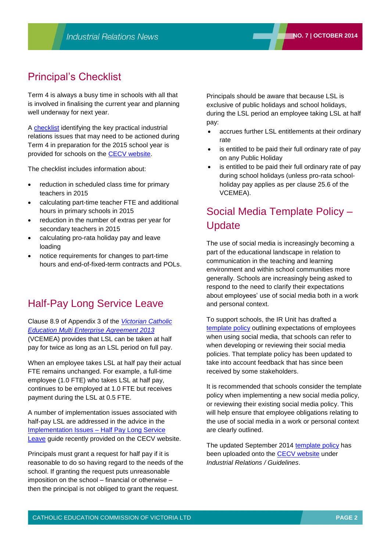## Principal's Checklist

Term 4 is always a busy time in schools with all that is involved in finalising the current year and planning well underway for next year.

A [checklist](http://www.cecv.catholic.edu.au/vcsa/Implementation_Guidelines/Principal) identifying the key practical industrial relations issues that may need to be actioned during Term 4 in preparation for the 2015 school year is provided for schools on the [CECV website.](http://www.cecv.catholic.edu.au/frameset.htm?page=industrial)

The checklist includes information about:

- reduction in scheduled class time for primary teachers in 2015
- calculating part-time teacher FTE and additional hours in primary schools in 2015
- reduction in the number of extras per year for secondary teachers in 2015
- calculating pro-rata holiday pay and leave loading
- notice requirements for changes to part-time hours and end-of-fixed-term contracts and POLs.

### Half-Pay Long Service Leave

Clause 8.9 of Appendix 3 of the *[Victorian Catholic](http://www.cecv.catholic.edu.au/vcsa/Agreement_2013/VCEMEA_2013.pdf)  [Education Multi Enterprise Agreement 2013](http://www.cecv.catholic.edu.au/vcsa/Agreement_2013/VCEMEA_2013.pdf)* (VCEMEA) provides that LSL can be taken at half pay for twice as long as an LSL period on full pay.

When an employee takes LSL at half pay their actual FTE remains unchanged. For example, a full-time employee (1.0 FTE) who takes LSL at half pay, continues to be employed at 1.0 FTE but receives payment during the LSL at 0.5 FTE.

A number of implementation issues associated with half-pay LSL are addressed in the advice in the [Implementation Issues –](http://www.cecv.catholic.edu.au/vcsa/Implementation_Guidelines/LSL_half_pay.pdf) Half Pay Long Service [Leave](http://www.cecv.catholic.edu.au/vcsa/Implementation_Guidelines/LSL_half_pay.pdf) guide recently provided on the CECV website.

Principals must grant a request for half pay if it is reasonable to do so having regard to the needs of the school. If granting the request puts unreasonable imposition on the school – financial or otherwise – then the principal is not obliged to grant the request.

Principals should be aware that because LSL is exclusive of public holidays and school holidays, during the LSL period an employee taking LSL at half pay:

- accrues further LSL entitlements at their ordinary rate
- is entitled to be paid their full ordinary rate of pay on any Public Holiday
- is entitled to be paid their full ordinary rate of pay during school holidays (unless pro-rata schoolholiday pay applies as per clause 25.6 of the VCEMEA).

# Social Media Template Policy – **Update**

The use of social media is increasingly becoming a part of the educational landscape in relation to communication in the teaching and learning environment and within school communities more generally. Schools are increasingly being asked to respond to the need to clarify their expectations about employees' use of social media both in a work and personal context.

To support schools, the IR Unit has drafted a [template policy](http://www.cecv.catholic.edu.au/vcsa/guidelines/Template_Social_Media_Policy.doc) outlining expectations of employees when using social media, that schools can refer to when developing or reviewing their social media policies. That template policy has been updated to take into account feedback that has since been received by some stakeholders.

It is recommended that schools consider the template policy when implementing a new social media policy, or reviewing their existing social media policy. This will help ensure that employee obligations relating to the use of social media in a work or personal context are clearly outlined.

The updated September 2014 [template policy](http://web.cecv.catholic.edu.au/vcsa/guidelines/Template_Social_Media_Policy.doc) has been uploaded onto the **CECV** website under *Industrial Relations / Guidelines*.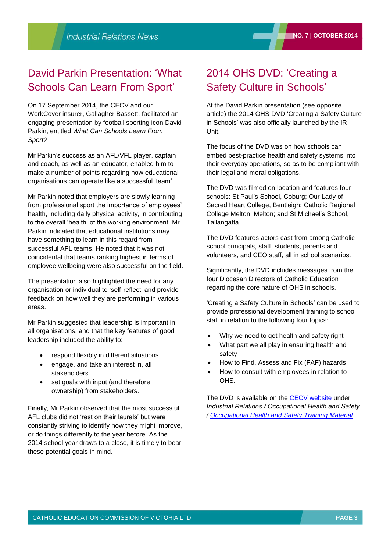# David Parkin Presentation: 'What Schools Can Learn From Sport'

On 17 September 2014, the CECV and our WorkCover insurer, Gallagher Bassett, facilitated an engaging presentation by football sporting icon David Parkin, entitled *What Can Schools Learn From Sport?*

Mr Parkin's success as an AFL/VFL player, captain and coach, as well as an educator, enabled him to make a number of points regarding how educational organisations can operate like a successful 'team'.

Mr Parkin noted that employers are slowly learning from professional sport the importance of employees' health, including daily physical activity, in contributing to the overall 'health' of the working environment. Mr Parkin indicated that educational institutions may have something to learn in this regard from successful AFL teams. He noted that it was not coincidental that teams ranking highest in terms of employee wellbeing were also successful on the field.

The presentation also highlighted the need for any organisation or individual to 'self-reflect' and provide feedback on how well they are performing in various areas.

Mr Parkin suggested that leadership is important in all organisations, and that the key features of good leadership included the ability to:

- respond flexibly in different situations
- engage, and take an interest in, all stakeholders
- set goals with input (and therefore ownership) from stakeholders.

Finally, Mr Parkin observed that the most successful AFL clubs did not 'rest on their laurels' but were constantly striving to identify how they might improve, or do things differently to the year before. As the 2014 school year draws to a close, it is timely to bear these potential goals in mind.

# 2014 OHS DVD: 'Creating a Safety Culture in Schools'

At the David Parkin presentation (see opposite article) the 2014 OHS DVD 'Creating a Safety Culture in Schools' was also officially launched by the IR Unit.

The focus of the DVD was on how schools can embed best-practice health and safety systems into their everyday operations, so as to be compliant with their legal and moral obligations.

The DVD was filmed on location and features four schools: St Paul's School, Coburg; Our Lady of Sacred Heart College, Bentleigh; Catholic Regional College Melton, Melton; and St Michael's School, Tallangatta.

The DVD features actors cast from among Catholic school principals, staff, students, parents and volunteers, and CEO staff, all in school scenarios.

Significantly, the DVD includes messages from the four Diocesan Directors of Catholic Education regarding the core nature of OHS in schools.

'Creating a Safety Culture in Schools' can be used to provide professional development training to school staff in relation to the following four topics:

- Why we need to get health and safety right
- What part we all play in ensuring health and safety
- How to Find, Assess and Fix (FAF) hazards
- How to consult with employees in relation to OHS.

The DVD is available on the [CECV website](http://www.cecv.catholic.edu.au/) under *Industrial Relations / Occupational Health and Safety / [Occupational Health and Safety Training Material](http://www.cecv.catholic.edu.au/vcsa/ohands/ohs_in_schools.html)*.